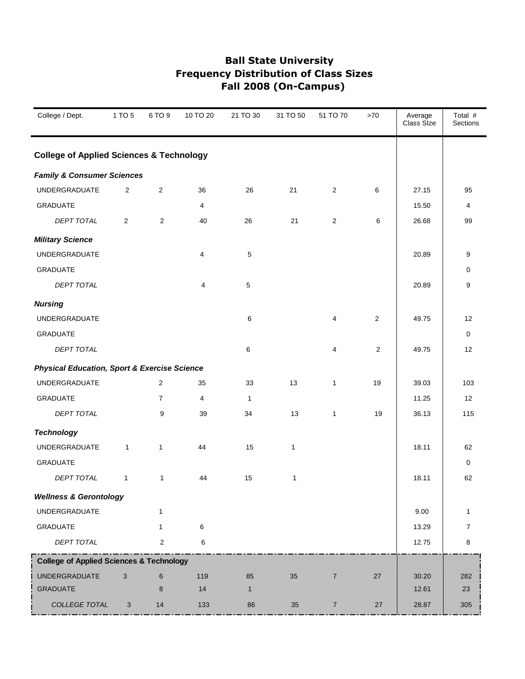| College / Dept.                                         | 1 TO 5         | 6 TO 9           | 10 TO 20 | 21 TO 30     | 31 TO 50     | 51 TO 70       | $>70$          | Average<br>Class Size | Total #<br>Sections |
|---------------------------------------------------------|----------------|------------------|----------|--------------|--------------|----------------|----------------|-----------------------|---------------------|
| <b>College of Applied Sciences &amp; Technology</b>     |                |                  |          |              |              |                |                |                       |                     |
| <b>Family &amp; Consumer Sciences</b>                   |                |                  |          |              |              |                |                |                       |                     |
| <b>UNDERGRADUATE</b>                                    | 2              | $\boldsymbol{2}$ | 36       | 26           | 21           | $\overline{2}$ | 6              | 27.15                 | 95                  |
| <b>GRADUATE</b>                                         |                |                  | 4        |              |              |                |                | 15.50                 | 4                   |
| DEPT TOTAL                                              | $\overline{2}$ | $\overline{2}$   | 40       | 26           | 21           | $\overline{c}$ | 6              | 26.68                 | 99                  |
| <b>Military Science</b>                                 |                |                  |          |              |              |                |                |                       |                     |
| <b>UNDERGRADUATE</b>                                    |                |                  | 4        | 5            |              |                |                | 20.89                 | 9                   |
| GRADUATE                                                |                |                  |          |              |              |                |                |                       | 0                   |
| DEPT TOTAL                                              |                |                  | 4        | $\,$ 5 $\,$  |              |                |                | 20.89                 | 9                   |
| <b>Nursing</b>                                          |                |                  |          |              |              |                |                |                       |                     |
| <b>UNDERGRADUATE</b>                                    |                |                  |          | 6            |              | $\overline{4}$ | $\overline{2}$ | 49.75                 | 12                  |
| <b>GRADUATE</b>                                         |                |                  |          |              |              |                |                |                       | 0                   |
| <b>DEPT TOTAL</b>                                       |                |                  |          | 6            |              | 4              | 2              | 49.75                 | 12                  |
| <b>Physical Education, Sport &amp; Exercise Science</b> |                |                  |          |              |              |                |                |                       |                     |
| <b>UNDERGRADUATE</b>                                    |                | 2                | 35       | 33           | 13           | $\mathbf{1}$   | 19             | 39.03                 | 103                 |
| <b>GRADUATE</b>                                         |                | $\overline{7}$   | 4        | 1            |              |                |                | 11.25                 | 12                  |
| DEPT TOTAL                                              |                | 9                | 39       | 34           | 13           | $\mathbf{1}$   | 19             | 36.13                 | 115                 |
| <b>Technology</b>                                       |                |                  |          |              |              |                |                |                       |                     |
| <b>UNDERGRADUATE</b>                                    | $\mathbf{1}$   | $\mathbf{1}$     | 44       | 15           | $\mathbf{1}$ |                |                | 18.11                 | 62                  |
| <b>GRADUATE</b>                                         |                |                  |          |              |              |                |                |                       | 0                   |
| DEPT TOTAL                                              | $\mathbf{1}$   | $\mathbf{1}$     | 44       | 15           | $\mathbf{1}$ |                |                | 18.11                 | 62                  |
| <b>Wellness &amp; Gerontology</b>                       |                |                  |          |              |              |                |                |                       |                     |
| <b>UNDERGRADUATE</b>                                    |                | $\mathbf{1}$     |          |              |              |                |                | 9.00                  | 1                   |
| GRADUATE                                                |                | $\mathbf{1}$     | 6        |              |              |                |                | 13.29                 | $\overline{7}$      |
| DEPT TOTAL                                              |                | $\overline{c}$   | 6        |              |              |                |                | 12.75                 | 8                   |
| <b>College of Applied Sciences &amp; Technology</b>     |                |                  |          |              |              |                |                |                       |                     |
| <b>UNDERGRADUATE</b>                                    | 3              | $6\phantom{1}6$  | 119      | 85           | 35           | $\overline{7}$ | 27             | 30.20                 | 282                 |
| <b>GRADUATE</b>                                         |                | 8                | 14       | $\mathbf{1}$ |              |                |                | 12.61                 | 23                  |
| COLLEGE TOTAL                                           | $\mathbf{3}$   | 14               | 133      | 86           | 35           | $\overline{7}$ | 27             | 28.87                 | 305                 |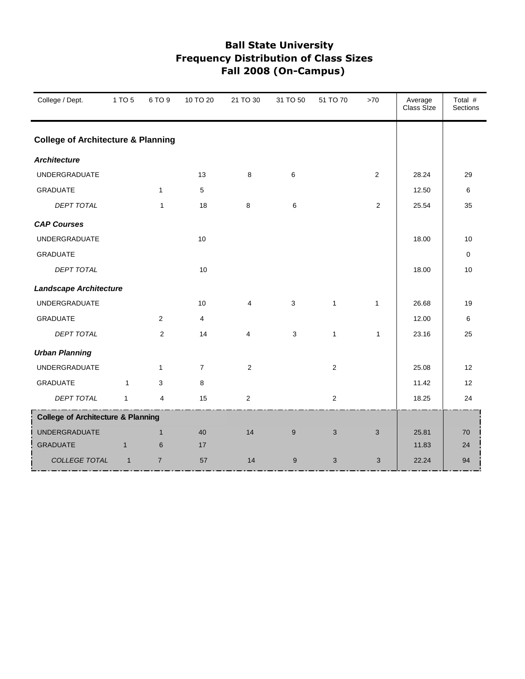| College / Dept.                               | 1 TO 5                                        | 6 TO 9         | 10 TO 20       | 21 TO 30     | 31 TO 50     | 51 TO 70     | >70            | Average<br>Class Size | Total #<br>Sections |  |  |
|-----------------------------------------------|-----------------------------------------------|----------------|----------------|--------------|--------------|--------------|----------------|-----------------------|---------------------|--|--|
|                                               | <b>College of Architecture &amp; Planning</b> |                |                |              |              |              |                |                       |                     |  |  |
| <b>Architecture</b>                           |                                               |                |                |              |              |              |                |                       |                     |  |  |
| <b>UNDERGRADUATE</b>                          |                                               |                | 13             | 8            | 6            |              | $\overline{2}$ | 28.24                 | 29                  |  |  |
| <b>GRADUATE</b>                               |                                               | $\mathbf{1}$   | 5              |              |              |              |                | 12.50                 | 6                   |  |  |
| DEPT TOTAL                                    |                                               | $\mathbf{1}$   | 18             | 8            | 6            |              | $\mathbf{2}$   | 25.54                 | 35                  |  |  |
| <b>CAP Courses</b>                            |                                               |                |                |              |              |              |                |                       |                     |  |  |
| <b>UNDERGRADUATE</b>                          |                                               |                | 10             |              |              |              |                | 18.00                 | 10                  |  |  |
| <b>GRADUATE</b>                               |                                               |                |                |              |              |              |                |                       | 0                   |  |  |
| <b>DEPT TOTAL</b>                             |                                               |                | 10             |              |              |              |                | 18.00                 | 10                  |  |  |
| <b>Landscape Architecture</b>                 |                                               |                |                |              |              |              |                |                       |                     |  |  |
| <b>UNDERGRADUATE</b>                          |                                               |                | 10             | 4            | $\mathbf{3}$ | $\mathbf{1}$ | $\mathbf{1}$   | 26.68                 | 19                  |  |  |
| <b>GRADUATE</b>                               |                                               | 2              | 4              |              |              |              |                | 12.00                 | 6                   |  |  |
| <b>DEPT TOTAL</b>                             |                                               | $\overline{2}$ | 14             | 4            | 3            | $\mathbf{1}$ | $\mathbf{1}$   | 23.16                 | 25                  |  |  |
| <b>Urban Planning</b>                         |                                               |                |                |              |              |              |                |                       |                     |  |  |
| <b>UNDERGRADUATE</b>                          |                                               | $\mathbf{1}$   | $\overline{7}$ | $\mathbf{2}$ |              | $\mathbf{2}$ |                | 25.08                 | 12                  |  |  |
| <b>GRADUATE</b>                               | 1                                             | 3              | 8              |              |              |              |                | 11.42                 | 12                  |  |  |
| <b>DEPT TOTAL</b>                             | $\mathbf{1}$                                  | $\overline{4}$ | 15             | 2            |              | 2            |                | 18.25                 | 24                  |  |  |
| <b>College of Architecture &amp; Planning</b> |                                               |                |                |              |              |              |                |                       |                     |  |  |
| <b>UNDERGRADUATE</b>                          |                                               | $\mathbf{1}$   | 40             | 14           | 9            | 3            | 3              | 25.81                 | 70                  |  |  |
| <b>GRADUATE</b>                               | $\mathbf{1}$                                  | 6              | 17             |              |              |              |                | 11.83                 | 24                  |  |  |
| COLLEGE TOTAL                                 | $\mathbf{1}$                                  | $\overline{7}$ | 57             | 14           | 9            | 3            | 3              | 22.24                 | 94                  |  |  |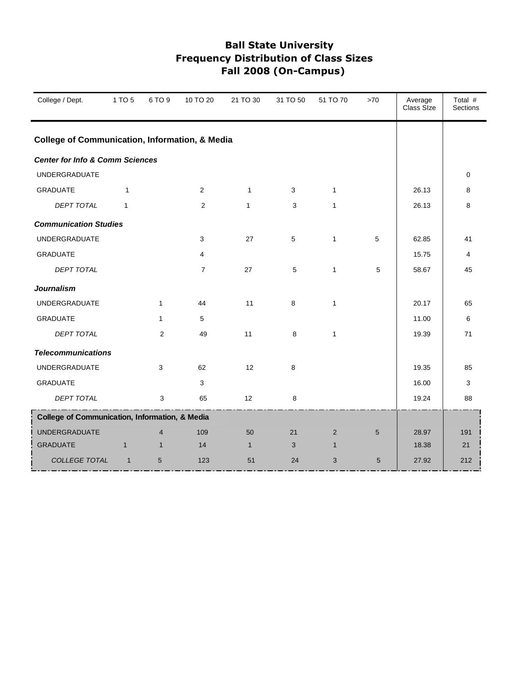| College / Dept.                                           | 1 TO 5       | 6 TO 9                  | 10 TO 20       | 21 TO 30     | 31 TO 50       | 51 TO 70     | >70        | Average<br>Class Size | Total #<br>Sections |
|-----------------------------------------------------------|--------------|-------------------------|----------------|--------------|----------------|--------------|------------|-----------------------|---------------------|
| <b>College of Communication, Information, &amp; Media</b> |              |                         |                |              |                |              |            |                       |                     |
| <b>Center for Info &amp; Comm Sciences</b>                |              |                         |                |              |                |              |            |                       |                     |
| <b>UNDERGRADUATE</b>                                      |              |                         |                |              |                |              |            |                       | 0                   |
| <b>GRADUATE</b>                                           | 1            |                         | $\overline{2}$ | $\mathbf{1}$ | 3              | $\mathbf{1}$ |            | 26.13                 | 8                   |
| <b>DEPT TOTAL</b>                                         | $\mathbf{1}$ |                         | 2              | $\mathbf{1}$ | 3              | $\mathbf{1}$ |            | 26.13                 | 8                   |
| <b>Communication Studies</b>                              |              |                         |                |              |                |              |            |                       |                     |
| <b>UNDERGRADUATE</b>                                      |              |                         | 3              | 27           | $\overline{5}$ | $\mathbf{1}$ | 5          | 62.85                 | 41                  |
| <b>GRADUATE</b>                                           |              |                         | $\overline{4}$ |              |                |              |            | 15.75                 | 4                   |
| <b>DEPT TOTAL</b>                                         |              |                         | $\overline{7}$ | 27           | 5              | $\mathbf{1}$ | 5          | 58.67                 | 45                  |
| <b>Journalism</b>                                         |              |                         |                |              |                |              |            |                       |                     |
| <b>UNDERGRADUATE</b>                                      |              | $\mathbf{1}$            | 44             | 11           | 8              | $\mathbf{1}$ |            | 20.17                 | 65                  |
| <b>GRADUATE</b>                                           |              | $\mathbf{1}$            | 5              |              |                |              |            | 11.00                 | 6                   |
| <b>DEPT TOTAL</b>                                         |              | $\overline{2}$          | 49             | 11           | 8              | $\mathbf{1}$ |            | 19.39                 | 71                  |
| <b>Telecommunications</b>                                 |              |                         |                |              |                |              |            |                       |                     |
| <b>UNDERGRADUATE</b>                                      |              | 3                       | 62             | 12           | 8              |              |            | 19.35                 | 85                  |
| <b>GRADUATE</b>                                           |              |                         | 3              |              |                |              |            | 16.00                 | 3                   |
| <b>DEPT TOTAL</b>                                         |              | 3                       | 65             | 12           | 8              |              |            | 19.24                 | 88                  |
| College of Communication, Information, & Media            |              |                         |                |              |                |              |            |                       |                     |
| <b>UNDERGRADUATE</b>                                      |              | $\overline{\mathbf{4}}$ | 109            | 50           | 21             | 2            | 5          | 28.97                 | 191                 |
| <b>GRADUATE</b>                                           | $\mathbf{1}$ | $\mathbf{1}$            | 14             | $\mathbf{1}$ | 3              | $\mathbf{1}$ |            | 18.38                 | 21                  |
| COLLEGE TOTAL                                             | $\mathbf{1}$ | 5                       | 123            | 51           | 24             | 3            | $\sqrt{5}$ | 27.92                 | 212                 |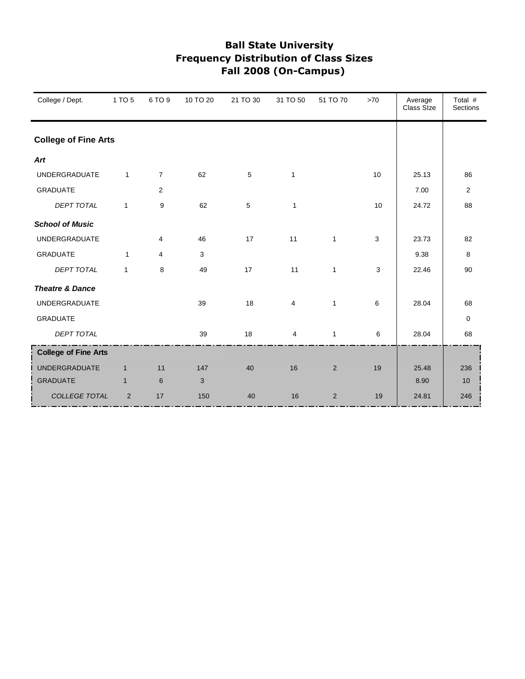| College / Dept.             | 1 TO 5         | 6 TO 9         | 10 TO 20 | 21 TO 30 | 31 TO 50       | 51 TO 70       | $>70$ | Average<br>Class Size | Total #<br>Sections |
|-----------------------------|----------------|----------------|----------|----------|----------------|----------------|-------|-----------------------|---------------------|
| <b>College of Fine Arts</b> |                |                |          |          |                |                |       |                       |                     |
| Art                         |                |                |          |          |                |                |       |                       |                     |
| <b>UNDERGRADUATE</b>        | $\mathbf{1}$   | $\overline{7}$ | 62       | 5        | $\mathbf{1}$   |                | 10    | 25.13                 | 86                  |
| <b>GRADUATE</b>             |                | 2              |          |          |                |                |       | 7.00                  | 2                   |
| <b>DEPT TOTAL</b>           | $\mathbf{1}$   | 9              | 62       | 5        | $\mathbf{1}$   |                | 10    | 24.72                 | 88                  |
| <b>School of Music</b>      |                |                |          |          |                |                |       |                       |                     |
| <b>UNDERGRADUATE</b>        |                | 4              | 46       | 17       | 11             | $\mathbf{1}$   | 3     | 23.73                 | 82                  |
| <b>GRADUATE</b>             | $\mathbf{1}$   | 4              | 3        |          |                |                |       | 9.38                  | 8                   |
| <b>DEPT TOTAL</b>           | $\mathbf{1}$   | 8              | 49       | 17       | 11             | $\mathbf{1}$   | 3     | 22.46                 | 90                  |
| <b>Theatre &amp; Dance</b>  |                |                |          |          |                |                |       |                       |                     |
| <b>UNDERGRADUATE</b>        |                |                | 39       | 18       | $\overline{4}$ | $\mathbf{1}$   | 6     | 28.04                 | 68                  |
| <b>GRADUATE</b>             |                |                |          |          |                |                |       |                       | 0                   |
| <b>DEPT TOTAL</b>           |                |                | 39       | 18       | 4              | $\mathbf{1}$   | 6     | 28.04                 | 68                  |
| <b>College of Fine Arts</b> |                |                |          |          |                |                |       |                       |                     |
| <b>UNDERGRADUATE</b>        | $\mathbf{1}$   | 11             | 147      | 40       | 16             | $\overline{2}$ | 19    | 25.48                 | 236                 |
| <b>GRADUATE</b>             | $\mathbf{1}$   | 6              | 3        |          |                |                |       | 8.90                  | 10                  |
| COLLEGE TOTAL               | $\overline{2}$ | 17             | 150      | 40       | 16             | $\overline{2}$ | 19    | 24.81                 | 246                 |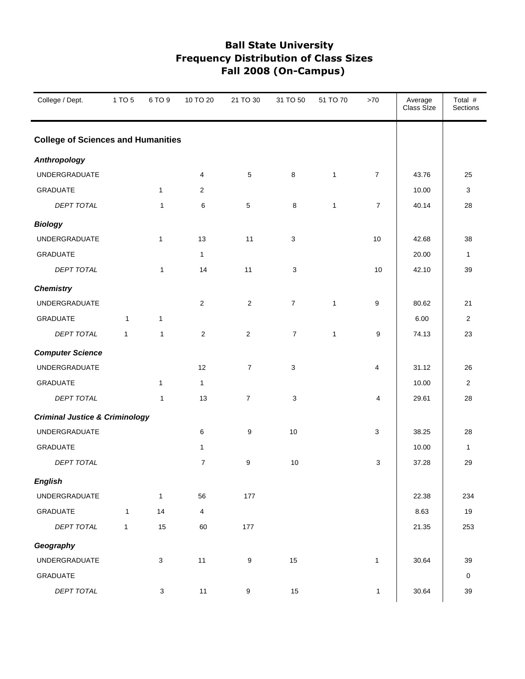| College / Dept.                           | 1 TO 5       | 6 TO 9       | 10 TO 20       | 21 TO 30         | 31 TO 50       | 51 TO 70     | $>70$          | Average<br>Class Size | Total #<br>Sections |
|-------------------------------------------|--------------|--------------|----------------|------------------|----------------|--------------|----------------|-----------------------|---------------------|
| <b>College of Sciences and Humanities</b> |              |              |                |                  |                |              |                |                       |                     |
| <b>Anthropology</b>                       |              |              |                |                  |                |              |                |                       |                     |
| UNDERGRADUATE                             |              |              | 4              | $5\phantom{.0}$  | $\bf8$         | $\mathbf{1}$ | $\overline{7}$ | 43.76                 | 25                  |
| <b>GRADUATE</b>                           |              | $\mathbf{1}$ | $\overline{2}$ |                  |                |              |                | 10.00                 | 3                   |
| DEPT TOTAL                                |              | $\mathbf{1}$ | 6              | $5\phantom{.0}$  | 8              | $\mathbf{1}$ | $\overline{7}$ | 40.14                 | 28                  |
| <b>Biology</b>                            |              |              |                |                  |                |              |                |                       |                     |
| UNDERGRADUATE                             |              | $\mathbf{1}$ | 13             | 11               | 3              |              | 10             | 42.68                 | 38                  |
| GRADUATE                                  |              |              | 1              |                  |                |              |                | 20.00                 | $\mathbf{1}$        |
| DEPT TOTAL                                |              | $\mathbf{1}$ | 14             | 11               | 3              |              | 10             | 42.10                 | 39                  |
| <b>Chemistry</b>                          |              |              |                |                  |                |              |                |                       |                     |
| <b>UNDERGRADUATE</b>                      |              |              | 2              | 2                | $\overline{7}$ | $\mathbf{1}$ | 9              | 80.62                 | 21                  |
| <b>GRADUATE</b>                           | $\mathbf{1}$ | $\mathbf{1}$ |                |                  |                |              |                | 6.00                  | $\overline{2}$      |
| DEPT TOTAL                                | $\mathbf{1}$ | $\mathbf{1}$ | $\sqrt{2}$     | $\overline{2}$   | $\overline{7}$ | $\mathbf{1}$ | 9              | 74.13                 | 23                  |
| <b>Computer Science</b>                   |              |              |                |                  |                |              |                |                       |                     |
| UNDERGRADUATE                             |              |              | 12             | $\overline{7}$   | 3              |              | 4              | 31.12                 | 26                  |
| <b>GRADUATE</b>                           |              | $\mathbf{1}$ | $\mathbf{1}$   |                  |                |              |                | 10.00                 | $\overline{2}$      |
| DEPT TOTAL                                |              | $\mathbf{1}$ | 13             | $\overline{7}$   | 3              |              | 4              | 29.61                 | 28                  |
| <b>Criminal Justice &amp; Criminology</b> |              |              |                |                  |                |              |                |                       |                     |
| UNDERGRADUATE                             |              |              | 6              | 9                | 10             |              | 3              | 38.25                 | 28                  |
| GRADUATE                                  |              |              | 1              |                  |                |              |                | 10.00                 | $\mathbf{1}$        |
| DEPT TOTAL                                |              |              | $\overline{7}$ | 9                | 10             |              | 3              | 37.28                 | 29                  |
| <b>English</b>                            |              |              |                |                  |                |              |                |                       |                     |
| UNDERGRADUATE                             |              | $\mathbf{1}$ | 56             | 177              |                |              |                | 22.38                 | 234                 |
| <b>GRADUATE</b>                           | $\mathbf{1}$ | 14           | $\overline{4}$ |                  |                |              |                | 8.63                  | $19$                |
| DEPT TOTAL                                | $\mathbf{1}$ | 15           | 60             | 177              |                |              |                | 21.35                 | 253                 |
| Geography                                 |              |              |                |                  |                |              |                |                       |                     |
| UNDERGRADUATE                             |              | $\mathbf{3}$ | 11             | $\boldsymbol{9}$ | 15             |              | $\mathbf{1}$   | 30.64                 | 39                  |
| GRADUATE                                  |              |              |                |                  |                |              |                |                       | $\mathsf{O}\xspace$ |
| DEPT TOTAL                                |              | 3            | 11             | 9                | 15             |              | $\mathbf{1}$   | 30.64                 | 39                  |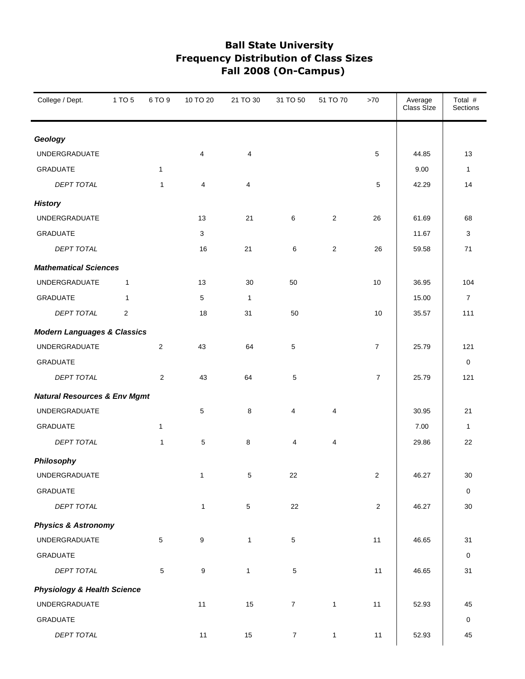| College / Dept.                         | 1 TO 5         | 6 TO 9          | 10 TO 20     | 21 TO 30       | 31 TO 50       | 51 TO 70       | $>70$          | Average<br>Class Size | Total #<br>Sections |
|-----------------------------------------|----------------|-----------------|--------------|----------------|----------------|----------------|----------------|-----------------------|---------------------|
| Geology                                 |                |                 |              |                |                |                |                |                       |                     |
| <b>UNDERGRADUATE</b>                    |                |                 | 4            | $\overline{4}$ |                |                | 5              | 44.85                 | 13                  |
| <b>GRADUATE</b>                         |                | $\mathbf{1}$    |              |                |                |                |                | 9.00                  | $\mathbf{1}$        |
| <b>DEPT TOTAL</b>                       |                | 1               | 4            | $\overline{4}$ |                |                | 5              | 42.29                 | 14                  |
| <b>History</b>                          |                |                 |              |                |                |                |                |                       |                     |
| <b>UNDERGRADUATE</b>                    |                |                 | 13           | 21             | 6              | 2              | 26             | 61.69                 | 68                  |
| <b>GRADUATE</b>                         |                |                 | 3            |                |                |                |                | 11.67                 | 3                   |
| <b>DEPT TOTAL</b>                       |                |                 | 16           | 21             | 6              | $\overline{2}$ | 26             | 59.58                 | 71                  |
| <b>Mathematical Sciences</b>            |                |                 |              |                |                |                |                |                       |                     |
| <b>UNDERGRADUATE</b>                    | $\mathbf{1}$   |                 | 13           | 30             | 50             |                | 10             | 36.95                 | 104                 |
| <b>GRADUATE</b>                         | $\mathbf{1}$   |                 | 5            | $\mathbf{1}$   |                |                |                | 15.00                 | $\overline{7}$      |
| <b>DEPT TOTAL</b>                       | $\overline{2}$ |                 | 18           | 31             | 50             |                | 10             | 35.57                 | 111                 |
| <b>Modern Languages &amp; Classics</b>  |                |                 |              |                |                |                |                |                       |                     |
| UNDERGRADUATE                           |                | $\overline{2}$  | 43           | 64             | 5              |                | $\overline{7}$ | 25.79                 | 121                 |
| <b>GRADUATE</b>                         |                |                 |              |                |                |                |                |                       | 0                   |
| DEPT TOTAL                              |                | 2               | 43           | 64             | 5              |                | $\overline{7}$ | 25.79                 | 121                 |
| <b>Natural Resources &amp; Env Mgmt</b> |                |                 |              |                |                |                |                |                       |                     |
| <b>UNDERGRADUATE</b>                    |                |                 | 5            | 8              | 4              | 4              |                | 30.95                 | 21                  |
| <b>GRADUATE</b>                         |                | 1               |              |                |                |                |                | 7.00                  | 1                   |
| <b>DEPT TOTAL</b>                       |                | $\mathbf{1}$    | 5            | 8              | 4              | 4              |                | 29.86                 | 22                  |
| Philosophy                              |                |                 |              |                |                |                |                |                       |                     |
| UNDERGRADUATE                           |                |                 | $\mathbf{1}$ | 5              | 22             |                | $\overline{2}$ | 46.27                 | $30\,$              |
| <b>GRADUATE</b>                         |                |                 |              |                |                |                |                |                       | $\pmb{0}$           |
| DEPT TOTAL                              |                |                 | $\mathbf{1}$ | $\overline{5}$ | 22             |                | $\sqrt{2}$     | 46.27                 | $30\,$              |
| <b>Physics &amp; Astronomy</b>          |                |                 |              |                |                |                |                |                       |                     |
| <b>UNDERGRADUATE</b>                    |                | $5\phantom{.0}$ | 9            | $\mathbf{1}$   | 5              |                | 11             | 46.65                 | 31                  |
| <b>GRADUATE</b>                         |                |                 |              |                |                |                |                |                       | $\pmb{0}$           |
| DEPT TOTAL                              |                | $\sqrt{5}$      | 9            | $\mathbf{1}$   | 5              |                | $11$           | 46.65                 | 31                  |
| <b>Physiology &amp; Health Science</b>  |                |                 |              |                |                |                |                |                       |                     |
| UNDERGRADUATE                           |                |                 | 11           | 15             | $\overline{7}$ | $\mathbf{1}$   | 11             | 52.93                 | 45                  |
| GRADUATE                                |                |                 |              |                |                |                |                |                       | 0                   |
| DEPT TOTAL                              |                |                 | 11           | 15             | $\overline{7}$ | $\mathbf{1}$   | 11             | 52.93                 | 45                  |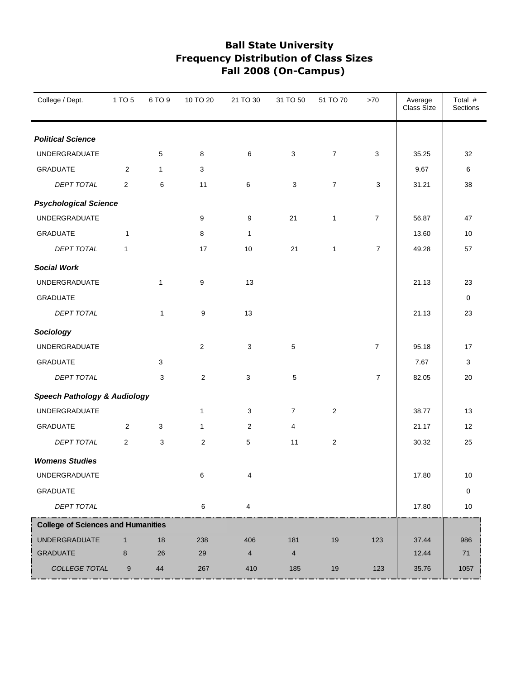| College / Dept.                           | 1 TO 5         | 6 TO 9       | 10 TO 20       | 21 TO 30       | 31 TO 50       | 51 TO 70         | >70            | Average<br>Class Size | Total #<br><b>Sections</b> |
|-------------------------------------------|----------------|--------------|----------------|----------------|----------------|------------------|----------------|-----------------------|----------------------------|
| <b>Political Science</b>                  |                |              |                |                |                |                  |                |                       |                            |
| UNDERGRADUATE                             |                | 5            | 8              | 6              | 3              | $\boldsymbol{7}$ | 3              | 35.25                 | 32                         |
| <b>GRADUATE</b>                           | 2              | 1            | 3              |                |                |                  |                | 9.67                  | 6                          |
| <b>DEPT TOTAL</b>                         | $\overline{2}$ | 6            | 11             | 6              | 3              | $\overline{7}$   | 3              | 31.21                 | 38                         |
| <b>Psychological Science</b>              |                |              |                |                |                |                  |                |                       |                            |
| UNDERGRADUATE                             |                |              | 9              | 9              | 21             | $\mathbf{1}$     | $\overline{7}$ | 56.87                 | 47                         |
| <b>GRADUATE</b>                           | $\mathbf{1}$   |              | 8              | 1              |                |                  |                | 13.60                 | 10                         |
| <b>DEPT TOTAL</b>                         | $\mathbf{1}$   |              | 17             | 10             | 21             | $\mathbf{1}$     | $\overline{7}$ | 49.28                 | 57                         |
| <b>Social Work</b>                        |                |              |                |                |                |                  |                |                       |                            |
| <b>UNDERGRADUATE</b>                      |                | $\mathbf{1}$ | 9              | 13             |                |                  |                | 21.13                 | 23                         |
| <b>GRADUATE</b>                           |                |              |                |                |                |                  |                |                       | 0                          |
| DEPT TOTAL                                |                | $\mathbf{1}$ | 9              | 13             |                |                  |                | 21.13                 | 23                         |
| Sociology                                 |                |              |                |                |                |                  |                |                       |                            |
| <b>UNDERGRADUATE</b>                      |                |              | $\mathbf{2}$   | 3              | 5              |                  | $\overline{7}$ | 95.18                 | 17                         |
| <b>GRADUATE</b>                           |                | 3            |                |                |                |                  |                | 7.67                  | 3                          |
| DEPT TOTAL                                |                | 3            | $\mathbf{2}$   | 3              | 5              |                  | $\overline{7}$ | 82.05                 | 20                         |
| <b>Speech Pathology &amp; Audiology</b>   |                |              |                |                |                |                  |                |                       |                            |
| UNDERGRADUATE                             |                |              | $\mathbf{1}$   | 3              | $\overline{7}$ | $\overline{c}$   |                | 38.77                 | 13                         |
| <b>GRADUATE</b>                           | 2              | 3            | 1              | 2              | 4              |                  |                | 21.17                 | 12                         |
| DEPT TOTAL                                | 2              | 3            | $\overline{c}$ | 5              | 11             | $\overline{c}$   |                | 30.32                 | 25                         |
| <b>Womens Studies</b>                     |                |              |                |                |                |                  |                |                       |                            |
| UNDERGRADUATE                             |                |              | 6              | 4              |                |                  |                | 17.80                 | 10                         |
| GRADUATE                                  |                |              |                |                |                |                  |                |                       | 0                          |
| DEPT TOTAL                                |                |              | 6              | 4              |                |                  |                | 17.80                 | $10$                       |
| <b>College of Sciences and Humanities</b> |                |              |                |                |                |                  |                |                       |                            |
| <b>UNDERGRADUATE</b>                      | $\mathbf{1}$   | 18           | 238            | 406            | 181            | 19               | 123            | 37.44                 | 986                        |
| GRADUATE                                  | 8              | 26           | 29             | $\overline{4}$ | $\overline{4}$ |                  |                | 12.44                 | $71\,$                     |
| COLLEGE TOTAL                             | 9              | 44           | 267            | 410            | 185            | 19               | 123            | 35.76                 | 1057                       |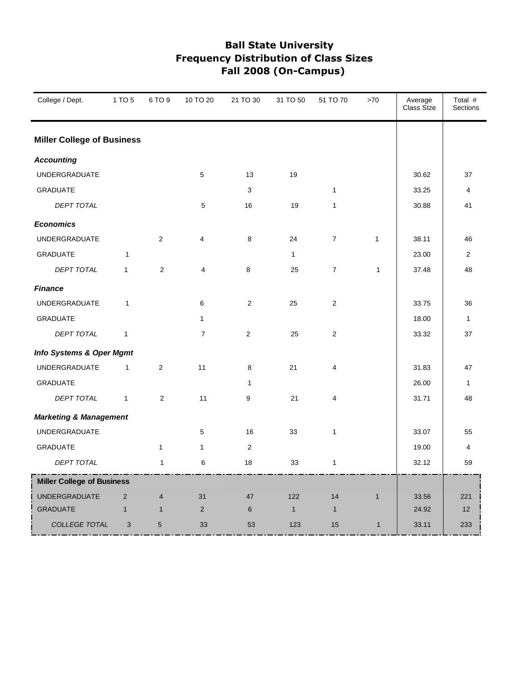| College / Dept.                   | 1 TO 5       | 6 TO 9         | 10 TO 20       | 21 TO 30       | 31 TO 50     | 51 TO 70       | >70          | Average<br>Class Size | Total #<br>Sections |
|-----------------------------------|--------------|----------------|----------------|----------------|--------------|----------------|--------------|-----------------------|---------------------|
| <b>Miller College of Business</b> |              |                |                |                |              |                |              |                       |                     |
| <b>Accounting</b>                 |              |                |                |                |              |                |              |                       |                     |
| <b>UNDERGRADUATE</b>              |              |                | 5              | 13             | 19           |                |              | 30.62                 | 37                  |
| <b>GRADUATE</b>                   |              |                |                | 3              |              | $\mathbf{1}$   |              | 33.25                 | 4                   |
| DEPT TOTAL                        |              |                | 5              | 16             | 19           | 1              |              | 30.88                 | 41                  |
| <b>Economics</b>                  |              |                |                |                |              |                |              |                       |                     |
| <b>UNDERGRADUATE</b>              |              | $\overline{2}$ | $\overline{4}$ | 8              | 24           | $\overline{7}$ | $\mathbf{1}$ | 38.11                 | 46                  |
| <b>GRADUATE</b>                   | 1            |                |                |                | $\mathbf{1}$ |                |              | 23.00                 | 2                   |
| DEPT TOTAL                        | $\mathbf{1}$ | 2              | 4              | 8              | 25           | $\overline{7}$ | $\mathbf{1}$ | 37.48                 | 48                  |
| <b>Finance</b>                    |              |                |                |                |              |                |              |                       |                     |
| <b>UNDERGRADUATE</b>              | $\mathbf{1}$ |                | 6              | $\overline{2}$ | 25           | $\overline{2}$ |              | 33.75                 | 36                  |
| <b>GRADUATE</b>                   |              |                | 1              |                |              |                |              | 18.00                 | $\mathbf{1}$        |
| DEPT TOTAL                        | 1            |                | $\overline{7}$ | $\overline{2}$ | 25           | $\overline{2}$ |              | 33.32                 | 37                  |
| Info Systems & Oper Mgmt          |              |                |                |                |              |                |              |                       |                     |
| <b>UNDERGRADUATE</b>              | $\mathbf{1}$ | $\overline{2}$ | 11             | 8              | 21           | 4              |              | 31.83                 | 47                  |
| <b>GRADUATE</b>                   |              |                |                | $\mathbf{1}$   |              |                |              | 26.00                 | $\mathbf{1}$        |
| DEPT TOTAL                        | $\mathbf{1}$ | $\overline{2}$ | 11             | 9              | 21           | 4              |              | 31.71                 | 48                  |
| <b>Marketing &amp; Management</b> |              |                |                |                |              |                |              |                       |                     |
| <b>UNDERGRADUATE</b>              |              |                | 5              | 16             | 33           | $\mathbf{1}$   |              | 33.07                 | 55                  |
| <b>GRADUATE</b>                   |              | $\mathbf{1}$   | $\mathbf{1}$   | $\overline{2}$ |              |                |              | 19.00                 | 4                   |
| <b>DEPT TOTAL</b>                 |              | $\mathbf{1}$   | 6              | 18             | 33           | 1              |              | 32.12                 | 59                  |
| <b>Miller College of Business</b> |              |                |                |                |              |                |              |                       |                     |
| <b>UNDERGRADUATE</b>              | 2            | $\overline{4}$ | 31             | 47             | 122          | 14             | $\mathbf{1}$ | 33.56                 | 221                 |
| <b>GRADUATE</b>                   | $\mathbf{1}$ | $\mathbf{1}$   | $\mathbf 2$    | $6\phantom{1}$ | $\mathbf{1}$ | $\mathbf{1}$   |              | 24.92                 | 12                  |
| <b>COLLEGE TOTAL</b>              | 3            | $5\phantom{1}$ | 33             | 53             | 123          | 15             | $\mathbf{1}$ | 33.11                 | 233                 |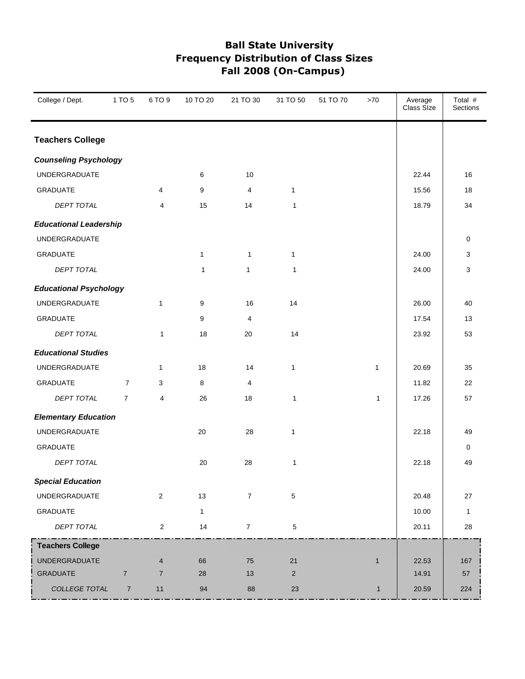| College / Dept.               | 1 TO 5         | 6 TO 9         | 10 TO 20     | 21 TO 30       | 31 TO 50       | 51 TO 70 | >70          | Average<br>Class Size | Total #<br>Sections |
|-------------------------------|----------------|----------------|--------------|----------------|----------------|----------|--------------|-----------------------|---------------------|
| <b>Teachers College</b>       |                |                |              |                |                |          |              |                       |                     |
| <b>Counseling Psychology</b>  |                |                |              |                |                |          |              |                       |                     |
| <b>UNDERGRADUATE</b>          |                |                | 6            | 10             |                |          |              | 22.44                 | 16                  |
| <b>GRADUATE</b>               |                | 4              | 9            | 4              | $\mathbf{1}$   |          |              | 15.56                 | 18                  |
| <b>DEPT TOTAL</b>             |                | 4              | 15           | 14             | $\mathbf{1}$   |          |              | 18.79                 | 34                  |
| <b>Educational Leadership</b> |                |                |              |                |                |          |              |                       |                     |
| UNDERGRADUATE                 |                |                |              |                |                |          |              |                       | $\mathbf 0$         |
| GRADUATE                      |                |                | $\mathbf{1}$ | $\mathbf{1}$   | $\mathbf{1}$   |          |              | 24.00                 | 3                   |
| <b>DEPT TOTAL</b>             |                |                | $\mathbf{1}$ | $\mathbf{1}$   | $\mathbf{1}$   |          |              | 24.00                 | 3                   |
| <b>Educational Psychology</b> |                |                |              |                |                |          |              |                       |                     |
| UNDERGRADUATE                 |                | $\mathbf{1}$   | 9            | 16             | 14             |          |              | 26.00                 | 40                  |
| <b>GRADUATE</b>               |                |                | 9            | 4              |                |          |              | 17.54                 | 13                  |
| DEPT TOTAL                    |                | $\mathbf{1}$   | 18           | 20             | 14             |          |              | 23.92                 | 53                  |
| <b>Educational Studies</b>    |                |                |              |                |                |          |              |                       |                     |
| UNDERGRADUATE                 |                | $\mathbf{1}$   | 18           | 14             | $\mathbf{1}$   |          | $\mathbf{1}$ | 20.69                 | 35                  |
| <b>GRADUATE</b>               | $\overline{7}$ | 3              | 8            | 4              |                |          |              | 11.82                 | 22                  |
| DEPT TOTAL                    | $\overline{7}$ | 4              | 26           | 18             | 1              |          | $\mathbf{1}$ | 17.26                 | 57                  |
| <b>Elementary Education</b>   |                |                |              |                |                |          |              |                       |                     |
| UNDERGRADUATE                 |                |                | 20           | 28             | $\mathbf{1}$   |          |              | 22.18                 | 49                  |
| <b>GRADUATE</b>               |                |                |              |                |                |          |              |                       | 0                   |
| <b>DEPT TOTAL</b>             |                |                | 20           | 28             | 1              |          |              | 22.18                 | 49                  |
| <b>Special Education</b>      |                |                |              |                |                |          |              |                       |                     |
| UNDERGRADUATE                 |                | $\overline{2}$ | 13           | $\overline{7}$ | 5              |          |              | 20.48                 | $27\,$              |
| GRADUATE                      |                |                | $\mathbf{1}$ |                |                |          |              | 10.00                 | $\mathbf{1}$        |
| DEPT TOTAL                    |                | $\overline{2}$ | 14           | $\overline{7}$ | 5              |          |              | 20.11                 | 28                  |
| <b>Teachers College</b>       |                |                |              |                |                |          |              |                       |                     |
| <b>UNDERGRADUATE</b>          |                | $\overline{4}$ | 66           | 75             | 21             |          | $\mathbf{1}$ | 22.53                 | 167                 |
| <b>GRADUATE</b>               | $\overline{7}$ | $\overline{7}$ | 28           | 13             | $\overline{2}$ |          |              | 14.91                 | 57                  |
| COLLEGE TOTAL                 | $\overline{7}$ | 11             | 94           | 88             | 23             |          | $\mathbf{1}$ | 20.59                 | 224                 |